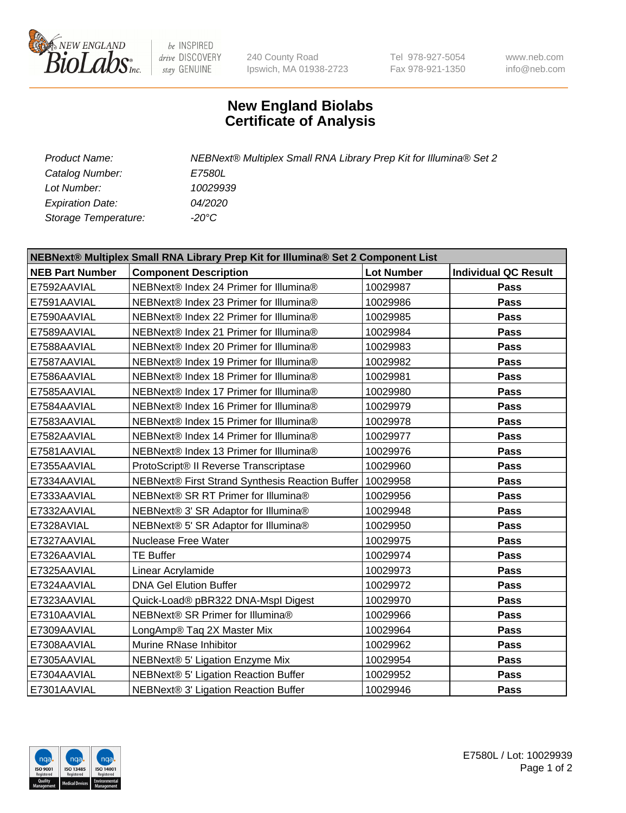

 $be$  INSPIRED drive DISCOVERY stay GENUINE

240 County Road Ipswich, MA 01938-2723 Tel 978-927-5054 Fax 978-921-1350 www.neb.com info@neb.com

## **New England Biolabs Certificate of Analysis**

| <b>Product Name:</b>    | NEBNext® Multiplex Small RNA Library Prep Kit for Illumina® Set 2 |
|-------------------------|-------------------------------------------------------------------|
| Catalog Number:         | <i>E7580L</i>                                                     |
| Lot Number:             | 10029939                                                          |
| <b>Expiration Date:</b> | <i>04/2020</i>                                                    |
| Storage Temperature:    | -20°C                                                             |

| NEBNext® Multiplex Small RNA Library Prep Kit for Illumina® Set 2 Component List |                                                 |                   |                             |  |  |
|----------------------------------------------------------------------------------|-------------------------------------------------|-------------------|-----------------------------|--|--|
| <b>NEB Part Number</b>                                                           | <b>Component Description</b>                    | <b>Lot Number</b> | <b>Individual QC Result</b> |  |  |
| E7592AAVIAL                                                                      | NEBNext® Index 24 Primer for Illumina®          | 10029987          | Pass                        |  |  |
| E7591AAVIAL                                                                      | NEBNext® Index 23 Primer for Illumina®          | 10029986          | <b>Pass</b>                 |  |  |
| E7590AAVIAL                                                                      | NEBNext® Index 22 Primer for Illumina®          | 10029985          | Pass                        |  |  |
| E7589AAVIAL                                                                      | NEBNext® Index 21 Primer for Illumina®          | 10029984          | Pass                        |  |  |
| E7588AAVIAL                                                                      | NEBNext® Index 20 Primer for Illumina®          | 10029983          | <b>Pass</b>                 |  |  |
| E7587AAVIAL                                                                      | NEBNext® Index 19 Primer for Illumina®          | 10029982          | Pass                        |  |  |
| E7586AAVIAL                                                                      | NEBNext® Index 18 Primer for Illumina®          | 10029981          | Pass                        |  |  |
| E7585AAVIAL                                                                      | NEBNext® Index 17 Primer for Illumina®          | 10029980          | Pass                        |  |  |
| E7584AAVIAL                                                                      | NEBNext® Index 16 Primer for Illumina®          | 10029979          | Pass                        |  |  |
| E7583AAVIAL                                                                      | NEBNext® Index 15 Primer for Illumina®          | 10029978          | Pass                        |  |  |
| E7582AAVIAL                                                                      | NEBNext® Index 14 Primer for Illumina®          | 10029977          | Pass                        |  |  |
| E7581AAVIAL                                                                      | NEBNext® Index 13 Primer for Illumina®          | 10029976          | Pass                        |  |  |
| E7355AAVIAL                                                                      | ProtoScript® II Reverse Transcriptase           | 10029960          | Pass                        |  |  |
| E7334AAVIAL                                                                      | NEBNext® First Strand Synthesis Reaction Buffer | 10029958          | Pass                        |  |  |
| E7333AAVIAL                                                                      | NEBNext® SR RT Primer for Illumina®             | 10029956          | Pass                        |  |  |
| E7332AAVIAL                                                                      | NEBNext® 3' SR Adaptor for Illumina®            | 10029948          | Pass                        |  |  |
| E7328AVIAL                                                                       | NEBNext® 5' SR Adaptor for Illumina®            | 10029950          | Pass                        |  |  |
| E7327AAVIAL                                                                      | <b>Nuclease Free Water</b>                      | 10029975          | Pass                        |  |  |
| E7326AAVIAL                                                                      | <b>TE Buffer</b>                                | 10029974          | Pass                        |  |  |
| E7325AAVIAL                                                                      | Linear Acrylamide                               | 10029973          | <b>Pass</b>                 |  |  |
| E7324AAVIAL                                                                      | <b>DNA Gel Elution Buffer</b>                   | 10029972          | Pass                        |  |  |
| E7323AAVIAL                                                                      | Quick-Load® pBR322 DNA-Mspl Digest              | 10029970          | Pass                        |  |  |
| E7310AAVIAL                                                                      | NEBNext® SR Primer for Illumina®                | 10029966          | Pass                        |  |  |
| E7309AAVIAL                                                                      | LongAmp® Taq 2X Master Mix                      | 10029964          | Pass                        |  |  |
| E7308AAVIAL                                                                      | Murine RNase Inhibitor                          | 10029962          | Pass                        |  |  |
| E7305AAVIAL                                                                      | NEBNext® 5' Ligation Enzyme Mix                 | 10029954          | <b>Pass</b>                 |  |  |
| E7304AAVIAL                                                                      | NEBNext® 5' Ligation Reaction Buffer            | 10029952          | Pass                        |  |  |
| E7301AAVIAL                                                                      | NEBNext® 3' Ligation Reaction Buffer            | 10029946          | <b>Pass</b>                 |  |  |